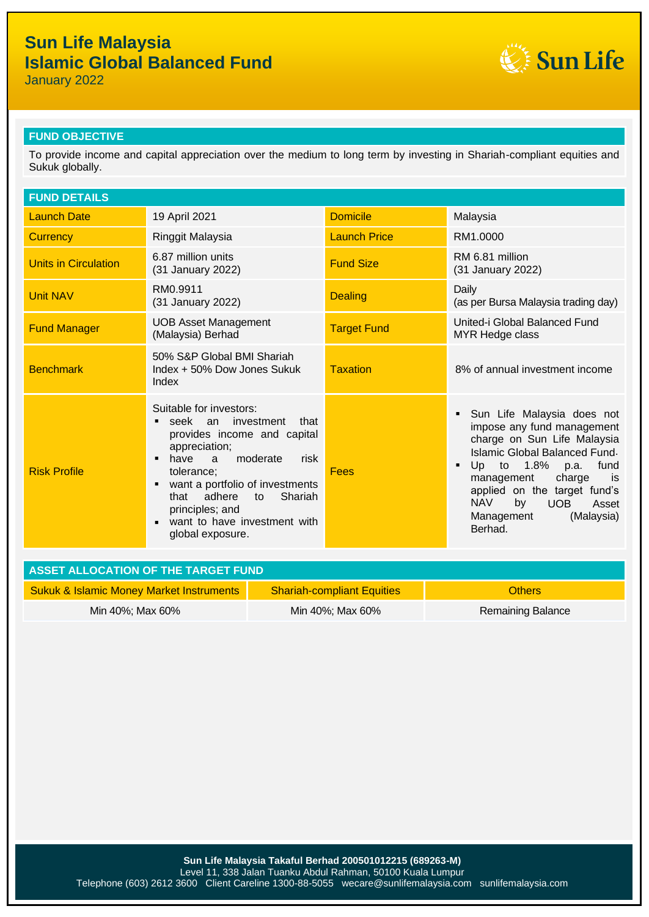January 2022



### **FUND OBJECTIVE**

To provide income and capital appreciation over the medium to long term by investing in Shariah-compliant equities and Sukuk globally.

| <b>FUND DETAILS</b>  |                                                                                                                                                                                                                                                                                                                          |                     |                                                                                                                                                                                                                                                                                                                |  |
|----------------------|--------------------------------------------------------------------------------------------------------------------------------------------------------------------------------------------------------------------------------------------------------------------------------------------------------------------------|---------------------|----------------------------------------------------------------------------------------------------------------------------------------------------------------------------------------------------------------------------------------------------------------------------------------------------------------|--|
| <b>Launch Date</b>   | 19 April 2021                                                                                                                                                                                                                                                                                                            | <b>Domicile</b>     | Malaysia                                                                                                                                                                                                                                                                                                       |  |
| <b>Currency</b>      | Ringgit Malaysia                                                                                                                                                                                                                                                                                                         | <b>Launch Price</b> | RM1.0000                                                                                                                                                                                                                                                                                                       |  |
| Units in Circulation | 6.87 million units<br>(31 January 2022)                                                                                                                                                                                                                                                                                  | <b>Fund Size</b>    | RM 6.81 million<br>(31 January 2022)                                                                                                                                                                                                                                                                           |  |
| <b>Unit NAV</b>      | RM0.9911<br>(31 January 2022)                                                                                                                                                                                                                                                                                            | <b>Dealing</b>      | Daily<br>(as per Bursa Malaysia trading day)                                                                                                                                                                                                                                                                   |  |
| <b>Fund Manager</b>  | <b>UOB Asset Management</b><br>(Malaysia) Berhad                                                                                                                                                                                                                                                                         | <b>Target Fund</b>  | United-i Global Balanced Fund<br>MYR Hedge class                                                                                                                                                                                                                                                               |  |
| <b>Benchmark</b>     | 50% S&P Global BMI Shariah<br>Index + 50% Dow Jones Sukuk<br>Index                                                                                                                                                                                                                                                       | <b>Taxation</b>     | 8% of annual investment income                                                                                                                                                                                                                                                                                 |  |
| <b>Risk Profile</b>  | Suitable for investors:<br>seek an investment<br>that<br>provides income and capital<br>appreciation;<br>moderate<br>have<br>$\overline{a}$<br>risk<br>п<br>tolerance:<br>want a portfolio of investments<br>п<br>adhere<br>Shariah<br>that<br>to<br>principles; and<br>want to have investment with<br>global exposure. | Fees                | Sun Life Malaysia does not<br>impose any fund management<br>charge on Sun Life Malaysia<br>Islamic Global Balanced Fund.<br>Up to $1.8\%$<br>fund<br>p.a.<br>٠<br>management<br>charge<br>is<br>applied on the target fund's<br><b>NAV</b><br>by<br><b>UOB</b><br>Asset<br>Management<br>(Malaysia)<br>Berhad. |  |

| ASSET ALLOCATION OF THE TARGET FUND                 |                                   |                   |  |  |
|-----------------------------------------------------|-----------------------------------|-------------------|--|--|
| <b>Sukuk &amp; Islamic Money Market Instruments</b> | <b>Shariah-compliant Equities</b> | <b>Others</b>     |  |  |
| Min 40%; Max 60%                                    | Min 40%; Max 60%                  | Remaining Balance |  |  |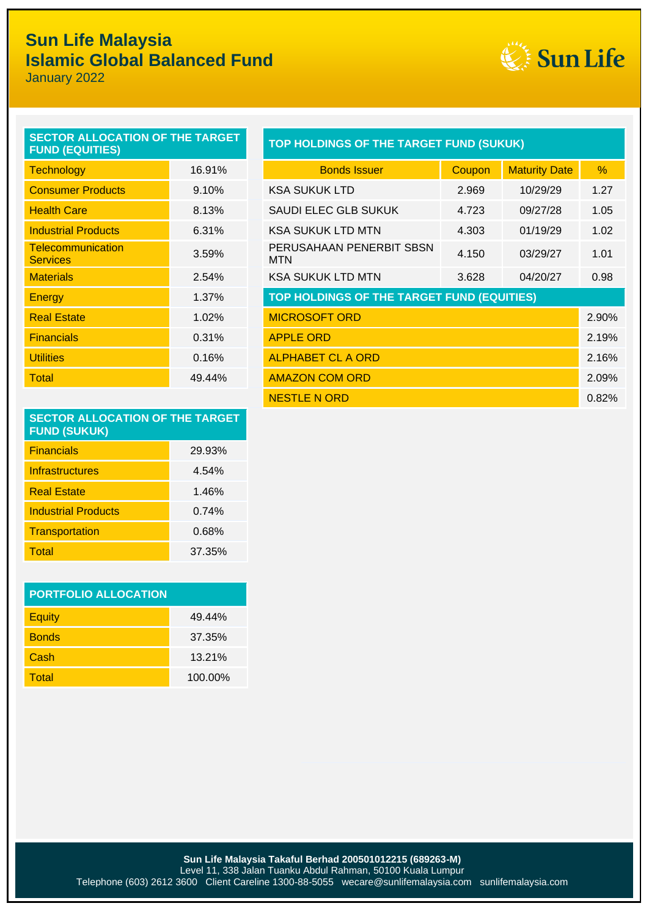January 2022



| SECTOR ALLOCATION OF THE TARGET<br><b>FUND (EQUITIES)</b> | <b>TOP HOLDINGS OF THE TARGET</b> |                                        |
|-----------------------------------------------------------|-----------------------------------|----------------------------------------|
| Technology                                                | 16.91%                            | <b>Bonds Issuer</b>                    |
| <b>Consumer Products</b>                                  | 9.10%                             | <b>KSA SUKUK LTD</b>                   |
| <b>Health Care</b>                                        | 8.13%                             | SAUDI ELEC GLB SUKUK                   |
| <b>Industrial Products</b>                                | 6.31%                             | <b>KSA SUKUK LTD MTN</b>               |
| Telecommunication<br><b>Services</b>                      | 3.59%                             | PERUSAHAAN PENERBIT SBSN<br><b>MTN</b> |
| <b>Materials</b>                                          | 2.54%                             | <b>KSA SUKUK LTD MTN</b>               |

### **TOP HOLDINGS OF THE TARGET FUND (SUKUK)**

| <b>Technology</b>                           | 16.91% | <b>Bonds Issuer</b>                        | Coupon | <b>Maturity Date</b> | $\%$  |
|---------------------------------------------|--------|--------------------------------------------|--------|----------------------|-------|
| <b>Consumer Products</b>                    | 9.10%  | <b>KSA SUKUK LTD</b>                       | 2.969  | 10/29/29             | 1.27  |
| <b>Health Care</b>                          | 8.13%  | SAUDI ELEC GLB SUKUK                       | 4.723  | 09/27/28             | 1.05  |
| <b>Industrial Products</b>                  | 6.31%  | <b>KSA SUKUK LTD MTN</b>                   | 4.303  | 01/19/29             | 1.02  |
| <b>Telecommunication</b><br><b>Services</b> | 3.59%  | PERUSAHAAN PENERBIT SBSN<br>MTN            | 4.150  | 03/29/27             | 1.01  |
| <b>Materials</b>                            | 2.54%  | <b>KSA SUKUK LTD MTN</b>                   | 3.628  | 04/20/27             | 0.98  |
| Energy                                      | 1.37%  | TOP HOLDINGS OF THE TARGET FUND (EQUITIES) |        |                      |       |
| <b>Real Estate</b>                          | 1.02%  | <b>MICROSOFT ORD</b>                       |        |                      | 2.90% |
| <b>Financials</b>                           | 0.31%  | <b>APPLE ORD</b>                           |        |                      | 2.19% |
| <b>Utilities</b>                            | 0.16%  | <b>ALPHABET CL A ORD</b>                   |        |                      | 2.16% |
| Total                                       | 49.44% | <b>AMAZON COM ORD</b>                      |        |                      | 2.09% |
|                                             |        | <b>NESTLE N ORD</b>                        |        |                      | 0.82% |
|                                             |        |                                            |        |                      |       |

### **SECTOR ALLOCATION OF THE TARGET FUND (SUKUK)** Financials 29.93% Infrastructures 4.54% Real Estate 1.46% Industrial Products **COVID-100-11** 0.74% Transportation 0.68% Total 37.35%

| <b>PORTFOLIO ALLOCATION</b> |         |  |  |
|-----------------------------|---------|--|--|
| <b>Equity</b>               | 49.44%  |  |  |
| <b>Bonds</b>                | 37.35%  |  |  |
| Cash                        | 13.21%  |  |  |
| Total                       | 100.00% |  |  |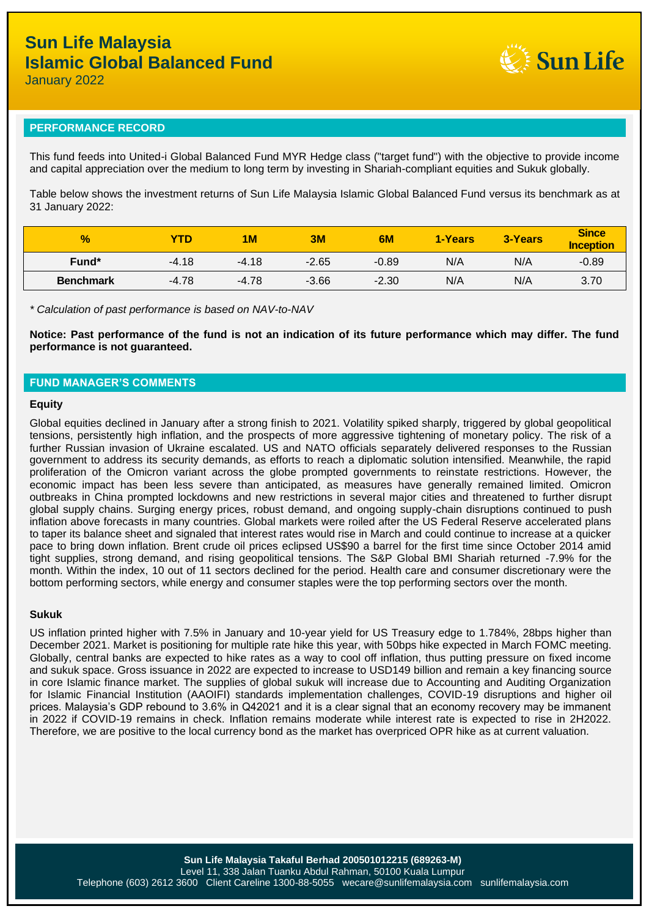January 2022

### **PERFORMANCE RECORD**

This fund feeds into United-i Global Balanced Fund MYR Hedge class ("target fund") with the objective to provide income and capital appreciation over the medium to long term by investing in Shariah-compliant equities and Sukuk globally.

**Sun Life** 

Table below shows the investment returns of Sun Life Malaysia Islamic Global Balanced Fund versus its benchmark as at 31 January 2022:

| $\frac{1}{2}$    | <b>YTD</b> | <b>1M</b> | 3M      | 6M      | 1-Years | 3-Years | <b>Since</b><br><b>Inception</b> |
|------------------|------------|-----------|---------|---------|---------|---------|----------------------------------|
| Fund*            | $-4.18$    | $-4.18$   | $-2.65$ | $-0.89$ | N/A     | N/A     | $-0.89$                          |
| <b>Benchmark</b> | $-4.78$    | $-4.78$   | $-3.66$ | $-2.30$ | N/A     | N/A     | 3.70                             |

*\* Calculation of past performance is based on NAV-to-NAV*

**Notice: Past performance of the fund is not an indication of its future performance which may differ. The fund performance is not guaranteed.**

### **FUND MANAGER'S COMMENTS**

#### **Equity**

Global equities declined in January after a strong finish to 2021. Volatility spiked sharply, triggered by global geopolitical tensions, persistently high inflation, and the prospects of more aggressive tightening of monetary policy. The risk of a further Russian invasion of Ukraine escalated. US and NATO officials separately delivered responses to the Russian government to address its security demands, as efforts to reach a diplomatic solution intensified. Meanwhile, the rapid proliferation of the Omicron variant across the globe prompted governments to reinstate restrictions. However, the economic impact has been less severe than anticipated, as measures have generally remained limited. Omicron outbreaks in China prompted lockdowns and new restrictions in several major cities and threatened to further disrupt global supply chains. Surging energy prices, robust demand, and ongoing supply-chain disruptions continued to push inflation above forecasts in many countries. Global markets were roiled after the US Federal Reserve accelerated plans to taper its balance sheet and signaled that interest rates would rise in March and could continue to increase at a quicker pace to bring down inflation. Brent crude oil prices eclipsed US\$90 a barrel for the first time since October 2014 amid tight supplies, strong demand, and rising geopolitical tensions. The S&P Global BMI Shariah returned -7.9% for the month. Within the index, 10 out of 11 sectors declined for the period. Health care and consumer discretionary were the bottom performing sectors, while energy and consumer staples were the top performing sectors over the month.

#### **Sukuk**

US inflation printed higher with 7.5% in January and 10-year yield for US Treasury edge to 1.784%, 28bps higher than December 2021. Market is positioning for multiple rate hike this year, with 50bps hike expected in March FOMC meeting. Globally, central banks are expected to hike rates as a way to cool off inflation, thus putting pressure on fixed income and sukuk space. Gross issuance in 2022 are expected to increase to USD149 billion and remain a key financing source in core Islamic finance market. The supplies of global sukuk will increase due to Accounting and Auditing Organization for Islamic Financial Institution (AAOIFI) standards implementation challenges, COVID-19 disruptions and higher oil prices. Malaysia's GDP rebound to 3.6% in Q42021 and it is a clear signal that an economy recovery may be immanent in 2022 if COVID-19 remains in check. Inflation remains moderate while interest rate is expected to rise in 2H2022. Therefore, we are positive to the local currency bond as the market has overpriced OPR hike as at current valuation.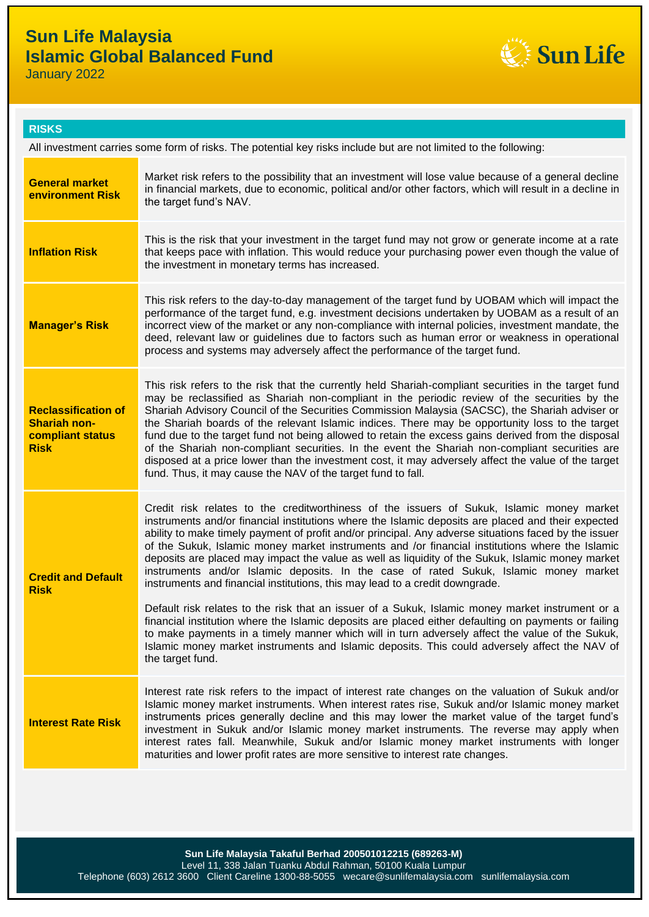

January 2022

| RF |     | 177 |
|----|-----|-----|
|    | אוס |     |

| All investment carries some form of risks. The potential key risks include but are not limited to the following: |                                                                                                                                                                                                                                                                                                                                                                                                                                                                                                                                                                                                                                                                                                                                                                                                                                                                                                                                                                                                                                                                                                                              |  |
|------------------------------------------------------------------------------------------------------------------|------------------------------------------------------------------------------------------------------------------------------------------------------------------------------------------------------------------------------------------------------------------------------------------------------------------------------------------------------------------------------------------------------------------------------------------------------------------------------------------------------------------------------------------------------------------------------------------------------------------------------------------------------------------------------------------------------------------------------------------------------------------------------------------------------------------------------------------------------------------------------------------------------------------------------------------------------------------------------------------------------------------------------------------------------------------------------------------------------------------------------|--|
| <b>General market</b><br><b>environment Risk</b>                                                                 | Market risk refers to the possibility that an investment will lose value because of a general decline<br>in financial markets, due to economic, political and/or other factors, which will result in a decline in<br>the target fund's NAV.                                                                                                                                                                                                                                                                                                                                                                                                                                                                                                                                                                                                                                                                                                                                                                                                                                                                                  |  |
| <b>Inflation Risk</b>                                                                                            | This is the risk that your investment in the target fund may not grow or generate income at a rate<br>that keeps pace with inflation. This would reduce your purchasing power even though the value of<br>the investment in monetary terms has increased.                                                                                                                                                                                                                                                                                                                                                                                                                                                                                                                                                                                                                                                                                                                                                                                                                                                                    |  |
| <b>Manager's Risk</b>                                                                                            | This risk refers to the day-to-day management of the target fund by UOBAM which will impact the<br>performance of the target fund, e.g. investment decisions undertaken by UOBAM as a result of an<br>incorrect view of the market or any non-compliance with internal policies, investment mandate, the<br>deed, relevant law or guidelines due to factors such as human error or weakness in operational<br>process and systems may adversely affect the performance of the target fund.                                                                                                                                                                                                                                                                                                                                                                                                                                                                                                                                                                                                                                   |  |
| <b>Reclassification of</b><br><b>Shariah non-</b><br>compliant status<br><b>Risk</b>                             | This risk refers to the risk that the currently held Shariah-compliant securities in the target fund<br>may be reclassified as Shariah non-compliant in the periodic review of the securities by the<br>Shariah Advisory Council of the Securities Commission Malaysia (SACSC), the Shariah adviser or<br>the Shariah boards of the relevant Islamic indices. There may be opportunity loss to the target<br>fund due to the target fund not being allowed to retain the excess gains derived from the disposal<br>of the Shariah non-compliant securities. In the event the Shariah non-compliant securities are<br>disposed at a price lower than the investment cost, it may adversely affect the value of the target<br>fund. Thus, it may cause the NAV of the target fund to fall.                                                                                                                                                                                                                                                                                                                                     |  |
| <b>Credit and Default</b><br><b>Risk</b>                                                                         | Credit risk relates to the creditworthiness of the issuers of Sukuk, Islamic money market<br>instruments and/or financial institutions where the Islamic deposits are placed and their expected<br>ability to make timely payment of profit and/or principal. Any adverse situations faced by the issuer<br>of the Sukuk, Islamic money market instruments and /or financial institutions where the Islamic<br>deposits are placed may impact the value as well as liquidity of the Sukuk, Islamic money market<br>instruments and/or Islamic deposits. In the case of rated Sukuk, Islamic money market<br>instruments and financial institutions, this may lead to a credit downgrade.<br>Default risk relates to the risk that an issuer of a Sukuk, Islamic money market instrument or a<br>financial institution where the Islamic deposits are placed either defaulting on payments or failing<br>to make payments in a timely manner which will in turn adversely affect the value of the Sukuk,<br>Islamic money market instruments and Islamic deposits. This could adversely affect the NAV of<br>the target fund. |  |
| <b>Interest Rate Risk</b>                                                                                        | Interest rate risk refers to the impact of interest rate changes on the valuation of Sukuk and/or<br>Islamic money market instruments. When interest rates rise, Sukuk and/or Islamic money market<br>instruments prices generally decline and this may lower the market value of the target fund's<br>investment in Sukuk and/or Islamic money market instruments. The reverse may apply when<br>interest rates fall. Meanwhile, Sukuk and/or Islamic money market instruments with longer<br>maturities and lower profit rates are more sensitive to interest rate changes.                                                                                                                                                                                                                                                                                                                                                                                                                                                                                                                                                |  |